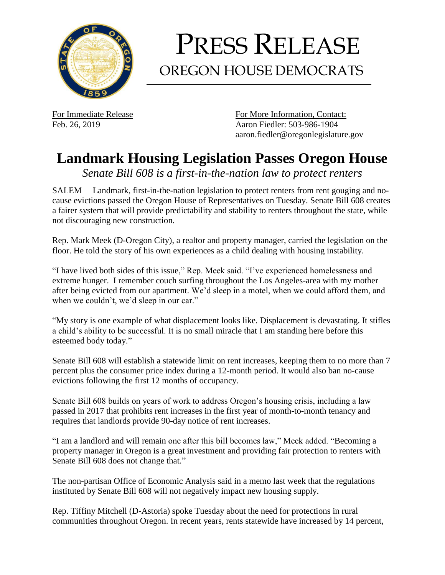

## PRESS RELEASE OREGON HOUSE DEMOCRATS

For Immediate Release For More Information, Contact: Feb. 26, 2019 Aaron Fiedler: 503-986-1904 aaron.fiedler@oregonlegislature.gov

## **Landmark Housing Legislation Passes Oregon House**

*Senate Bill 608 is a first-in-the-nation law to protect renters*

SALEM – Landmark, first-in-the-nation legislation to protect renters from rent gouging and nocause evictions passed the Oregon House of Representatives on Tuesday. Senate Bill 608 creates a fairer system that will provide predictability and stability to renters throughout the state, while not discouraging new construction.

Rep. Mark Meek (D-Oregon City), a realtor and property manager, carried the legislation on the floor. He told the story of his own experiences as a child dealing with housing instability.

"I have lived both sides of this issue," Rep. Meek said. "I've experienced homelessness and extreme hunger. I remember couch surfing throughout the Los Angeles-area with my mother after being evicted from our apartment. We'd sleep in a motel, when we could afford them, and when we couldn't, we'd sleep in our car."

"My story is one example of what displacement looks like. Displacement is devastating. It stifles a child's ability to be successful. It is no small miracle that I am standing here before this esteemed body today."

Senate Bill 608 will establish a statewide limit on rent increases, keeping them to no more than 7 percent plus the consumer price index during a 12-month period. It would also ban no-cause evictions following the first 12 months of occupancy.

Senate Bill 608 builds on years of work to address Oregon's housing crisis, including a law passed in 2017 that prohibits rent increases in the first year of month-to-month tenancy and requires that landlords provide 90-day notice of rent increases.

"I am a landlord and will remain one after this bill becomes law," Meek added. "Becoming a property manager in Oregon is a great investment and providing fair protection to renters with Senate Bill 608 does not change that."

The non-partisan Office of Economic Analysis said in a memo last week that the regulations instituted by Senate Bill 608 will not negatively impact new housing supply.

Rep. Tiffiny Mitchell (D-Astoria) spoke Tuesday about the need for protections in rural communities throughout Oregon. In recent years, rents statewide have increased by 14 percent,